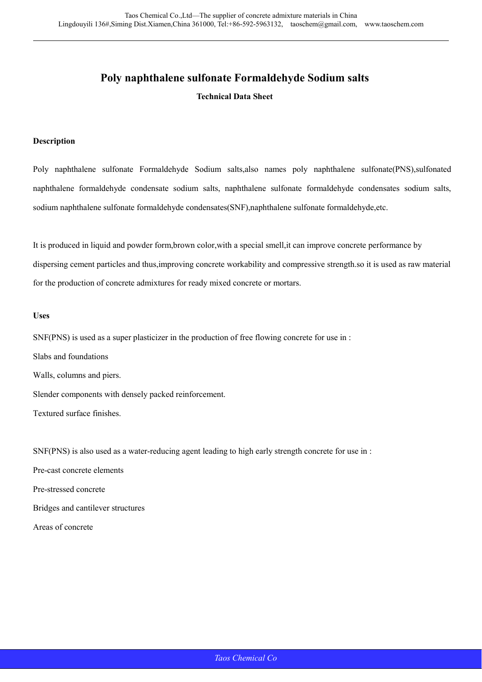# **Poly naphthalene sulfonate Formaldehyde Sodium salts**

**Technical Data Sheet** 

#### **Description**

Poly naphthalene sulfonate Formaldehyde Sodium salts,also names poly naphthalene sulfonate(PNS),sulfonated naphthalene formaldehyde condensate sodium salts, naphthalene sulfonate formaldehyde condensates sodium salts, sodium naphthalene sulfonate formaldehyde condensates(SNF),naphthalene sulfonate formaldehyde,etc.

It is produced in liquid and powder form,brown color,with a special smell,it can improve concrete performance by dispersing cement particles and thus,improving concrete workability and compressive strength.so it is used as raw material for the production of concrete admixtures for ready mixed concrete or mortars.

#### **Uses**

SNF(PNS) is used as a super plasticizer in the production of free flowing concrete for use in :

Slabs and foundations Walls, columns and piers. Slender components with densely packed reinforcement.

Textured surface finishes.

SNF(PNS) is also used as a water-reducing agent leading to high early strength concrete for use in :

Pre-cast concrete elements Pre-stressed concrete Bridges and cantilever structures

Areas of concrete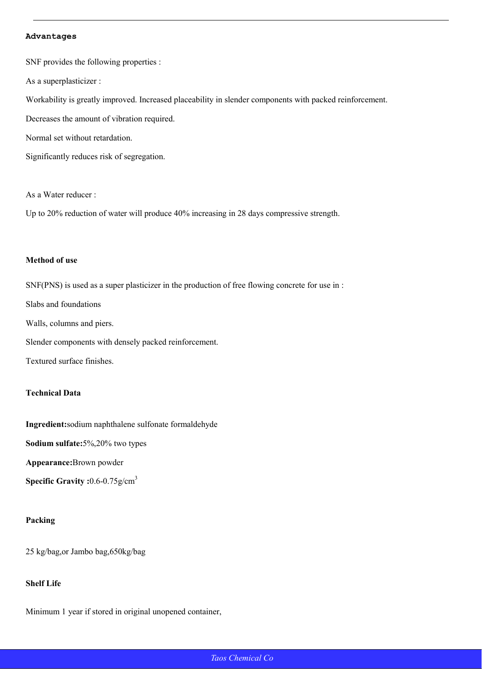#### **Advantages**

SNF provides the following properties :

As a superplasticizer :

Workability is greatly improved. Increased placeability in slender components with packed reinforcement.

Decreases the amount of vibration required.

Normal set without retardation.

Significantly reduces risk of segregation.

As a Water reducer :

Up to 20% reduction of water will produce 40% increasing in 28 days compressive strength.

#### **Method of use**

SNF(PNS) is used as a super plasticizer in the production of free flowing concrete for use in : Slabs and foundations Walls, columns and piers. Slender components with densely packed reinforcement. Textured surface finishes.

### **Technical Data**

**Ingredient:**sodium naphthalene sulfonate formaldehyde

**Sodium sulfate:**5%,20% two types

**Appearance:**Brown powder

**Specific Gravity :**0.6-0.75g/cm3

#### **Packing**

25 kg/bag,or Jambo bag,650kg/bag

## **Shelf Life**

Minimum 1 year if stored in original unopened container,